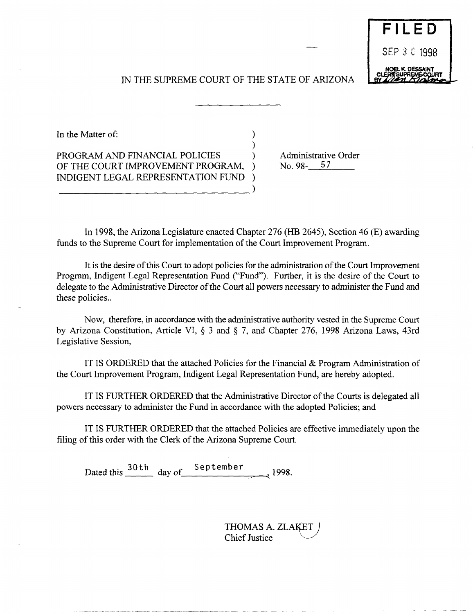# IN THE SUPREME COURT OF THE STATE OF ARIZONA

)

In the Matter of:  $\qquad \qquad$  )

PROGRAM AND FINANCIAL POLICIES OF THE COURT IMPROVEMENT PROGRAM, INDIGENT LEGAL REPRESENTATION FUND ) ------------------------------) Administrative Order<br>No. 98- $\underline{\hspace{1em}\phantom{1}}^{57}$ 

In 1998, the Arizona Legislature enacted Chapter 276 (HB 2645), Section 46 (E) awarding funds to the Supreme Court for implementation of the Court Improvement Program.

It is the desire of this Court to adopt policies for the administration of the Court Improvement Program, Indigent Legal Representation Fund ("Fund"). Further, it is the desire of the Court to delegate to the Administrative Director of the Court all powers necessary to administer the Fund and these policies..

Now, therefore, in accordance with the administrative authority vested in the Supreme Court by Arizona Constitution, Article VI, § 3 and § 7, and Chapter 276, 1998 Arizona Laws, 43rd Legislative Session,

IT IS ORDERED that the attached Policies for the Financial & Program Administration of the Court Improvement Program, Indigent Legal Representation Fund, are hereby adopted.

IT IS FURTHER ORDERED that the Administrative Director of the Courts is delegated all powers necessary to administer the Fund in accordance with the adopted Policies; and

IT IS FURTHER ORDERED that the attached Policies are effective immediately upon the filing of this order with the Clerk of the Arizona Supreme Court.

Dated this  $\frac{30 \text{ th}}{4}$  day of September ,1998.

THOMAS A. ZLAKET **Chief Justice** 

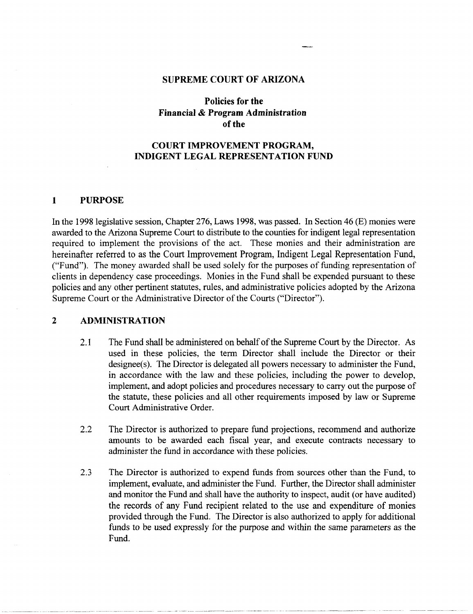#### **SUPREME COURT OF ARIZONA**

## **Policies for the Financial & Program Administration**  of the

## COURT IMPROVEMENT PROGRAM, **INDIGENT LEGAL REPRESENTATION FUND**

#### **1 PURPOSE**

In the 1998 legislative session, Chapter 276, Laws 1998, was passed. In Section 46 (E) monies were awarded to the Arizona Supreme Court to distribute to the counties for indigent legal representation required to implement the provisions of the act. These monies and their administration are hereinafter referred to as the Court Improvement Program, Indigent Legal Representation Fund, ("Fund"). The money awarded shall be used solely for the purposes of funding representation of clients in dependency case proceedings. Monies in the Fund shall be expended pursuant to these policies and any other pertinent statutes, rules, and administrative policies adopted by the Arizona Supreme Court or the Administrative Director of the Courts ("Director").

### 2 **ADMINISTRATION**

- 2.1 The Fund shall be administered on behalf of the Supreme Court by the Director. As used in these policies, the term Director shall include the Director or their designee(s). The Director is delegated all powers necessary to administer the Fund, in accordance with the law and these policies, including the power to develop, implement, and adopt policies and procedures necessary to carry out the purpose of the statute, these policies and all other requirements imposed by law or Supreme Court Administrative Order.
- 2.2 The Director is authorized to prepare fund projections, recommend and authorize amounts to be awarded each fiscal year, and execute contracts necessary to administer the fund in accordance with these policies.
- 2.3 The Director is authorized to expend funds from sources other than the Fund, to implement, evaluate, and administer the Fund. Further, the Director shall administer and monitor the Fund and shall have the authority to inspect, audit (or have audited) the records of any Fund recipient related to the use and expenditure of monies provided through the Fund. The Director is also authorized to apply for additional funds to be used expressly for the purpose and within the same parameters as the Fund.